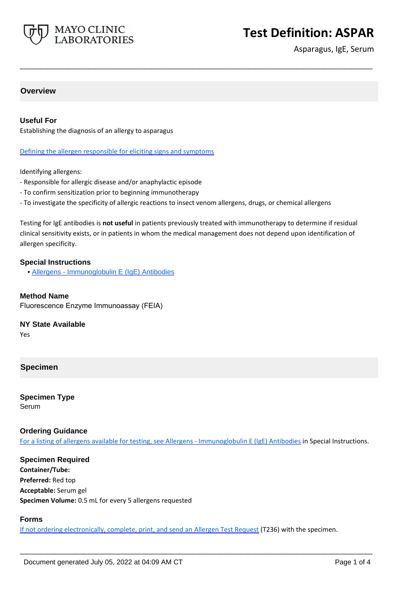

# **Test Definition: ASPAR**

Asparagus, IgE, Serum

#### **Overview**

#### **Useful For**

Establishing the diagnosis of an allergy to asparagus

Defining the allergen responsible for eliciting signs and symptoms

Identifying allergens:

- Responsible for allergic disease and/or anaphylactic episode
- To confirm sensitization prior to beginning immunotherapy
- To investigate the specificity of allergic reactions to insect venom allergens, drugs, or chemical allergens

Testing for IgE antibodies is **not useful** in patients previously treated with immunotherapy to determine if residual clinical sensitivity exists, or in patients in whom the medical management does not depend upon identification of allergen specificity.

**\_\_\_\_\_\_\_\_\_\_\_\_\_\_\_\_\_\_\_\_\_\_\_\_\_\_\_\_\_\_\_\_\_\_\_\_\_\_\_\_\_\_\_\_\_\_\_\_\_\_\_**

#### **Special Instructions**

• [Allergens - Immunoglobulin E \(IgE\) Antibodies](https://www.mayocliniclabs.com/it-mmfiles/Allergens-IgE_Antibodies.pdf)

#### **Method Name**

Fluorescence Enzyme Immunoassay (FEIA)

#### **NY State Available**

Yes

#### **Specimen**

**Specimen Type** Serum

#### **Ordering Guidance**

For a listing of allergens available for testing, see [Allergens - Immunoglobulin E \(IgE\) Antibodies](https://www.mayocliniclabs.com/it-mmfiles/Allergens-IgE_Antibodies.pdf) in Special Instructions.

**Specimen Required Container/Tube: Preferred:** Red top **Acceptable:** Serum gel **Specimen Volume:** 0.5 mL for every 5 allergens requested

#### **Forms**

If not ordering electronically, complete, print, and send an [Allergen Test Request](https://www.mayocliniclabs.com/it-mmfiles/allergen-test-request-form.pdf) (T236) with the specimen.

**\_\_\_\_\_\_\_\_\_\_\_\_\_\_\_\_\_\_\_\_\_\_\_\_\_\_\_\_\_\_\_\_\_\_\_\_\_\_\_\_\_\_\_\_\_\_\_\_\_\_\_**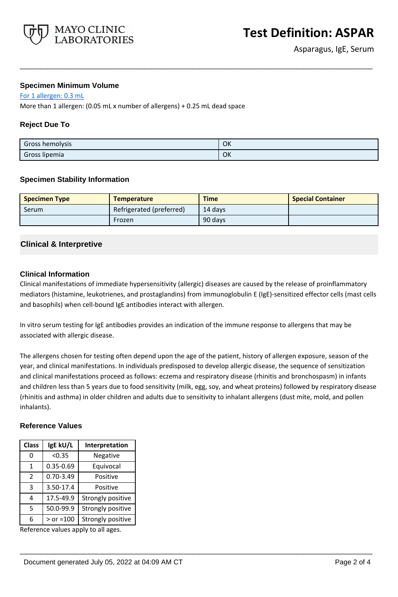

#### **Specimen Minimum Volume**

For 1 allergen: 0.3 mL

More than 1 allergen: (0.05 mL x number of allergens) + 0.25 mL dead space

### **Reject Due To**

| Gross hemolysis | OK |
|-----------------|----|
| Gross lipemia   | OK |

**\_\_\_\_\_\_\_\_\_\_\_\_\_\_\_\_\_\_\_\_\_\_\_\_\_\_\_\_\_\_\_\_\_\_\_\_\_\_\_\_\_\_\_\_\_\_\_\_\_\_\_**

#### **Specimen Stability Information**

| <b>Specimen Type</b> | <b>Temperature</b>       | <b>Time</b> | <b>Special Container</b> |
|----------------------|--------------------------|-------------|--------------------------|
| Serum                | Refrigerated (preferred) | 14 days     |                          |
|                      | Frozen                   | 90 days     |                          |

# **Clinical & Interpretive**

#### **Clinical Information**

Clinical manifestations of immediate hypersensitivity (allergic) diseases are caused by the release of proinflammatory mediators (histamine, leukotrienes, and prostaglandins) from immunoglobulin E (IgE)-sensitized effector cells (mast cells and basophils) when cell-bound IgE antibodies interact with allergen.

In vitro serum testing for IgE antibodies provides an indication of the immune response to allergens that may be associated with allergic disease.

The allergens chosen for testing often depend upon the age of the patient, history of allergen exposure, season of the year, and clinical manifestations. In individuals predisposed to develop allergic disease, the sequence of sensitization and clinical manifestations proceed as follows: eczema and respiratory disease (rhinitis and bronchospasm) in infants and children less than 5 years due to food sensitivity (milk, egg, soy, and wheat proteins) followed by respiratory disease (rhinitis and asthma) in older children and adults due to sensitivity to inhalant allergens (dust mite, mold, and pollen inhalants).

**\_\_\_\_\_\_\_\_\_\_\_\_\_\_\_\_\_\_\_\_\_\_\_\_\_\_\_\_\_\_\_\_\_\_\_\_\_\_\_\_\_\_\_\_\_\_\_\_\_\_\_**

#### **Reference Values**

| <b>Class</b>  | IgE kU/L      | Interpretation    |
|---------------|---------------|-------------------|
| ი             | < 0.35        | Negative          |
| 1             | $0.35 - 0.69$ | Equivocal         |
| $\mathcal{P}$ | $0.70 - 3.49$ | Positive          |
| 3             | 3.50-17.4     | Positive          |
| 4             | 17.5-49.9     | Strongly positive |
| 5             | 50.0-99.9     | Strongly positive |
| 6             | $>$ or =100   | Strongly positive |

Reference values apply to all ages.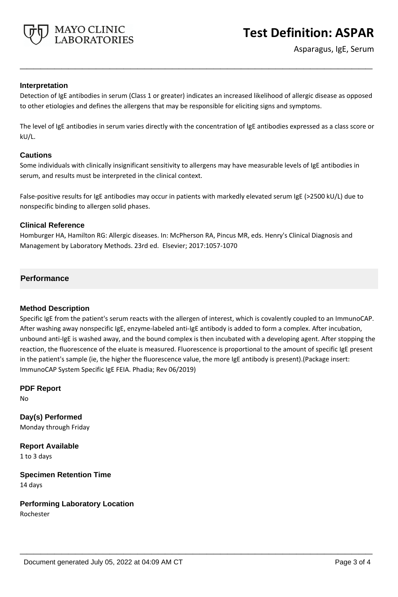

#### **Interpretation**

Detection of IgE antibodies in serum (Class 1 or greater) indicates an increased likelihood of allergic disease as opposed to other etiologies and defines the allergens that may be responsible for eliciting signs and symptoms.

**\_\_\_\_\_\_\_\_\_\_\_\_\_\_\_\_\_\_\_\_\_\_\_\_\_\_\_\_\_\_\_\_\_\_\_\_\_\_\_\_\_\_\_\_\_\_\_\_\_\_\_**

The level of IgE antibodies in serum varies directly with the concentration of IgE antibodies expressed as a class score or kU/L.

#### **Cautions**

Some individuals with clinically insignificant sensitivity to allergens may have measurable levels of IgE antibodies in serum, and results must be interpreted in the clinical context.

False-positive results for IgE antibodies may occur in patients with markedly elevated serum IgE (>2500 kU/L) due to nonspecific binding to allergen solid phases.

#### **Clinical Reference**

Homburger HA, Hamilton RG: Allergic diseases. In: McPherson RA, Pincus MR, eds. Henry's Clinical Diagnosis and Management by Laboratory Methods. 23rd ed. Elsevier; 2017:1057-1070

# **Performance**

# **Method Description**

Specific IgE from the patient's serum reacts with the allergen of interest, which is covalently coupled to an ImmunoCAP. After washing away nonspecific IgE, enzyme-labeled anti-IgE antibody is added to form a complex. After incubation, unbound anti-IgE is washed away, and the bound complex is then incubated with a developing agent. After stopping the reaction, the fluorescence of the eluate is measured. Fluorescence is proportional to the amount of specific IgE present in the patient's sample (ie, the higher the fluorescence value, the more IgE antibody is present).(Package insert: ImmunoCAP System Specific IgE FEIA. Phadia; Rev 06/2019)

**\_\_\_\_\_\_\_\_\_\_\_\_\_\_\_\_\_\_\_\_\_\_\_\_\_\_\_\_\_\_\_\_\_\_\_\_\_\_\_\_\_\_\_\_\_\_\_\_\_\_\_**

**PDF Report** No

**Day(s) Performed** Monday through Friday

**Report Available** 1 to 3 days

**Specimen Retention Time** 14 days

**Performing Laboratory Location**

Rochester